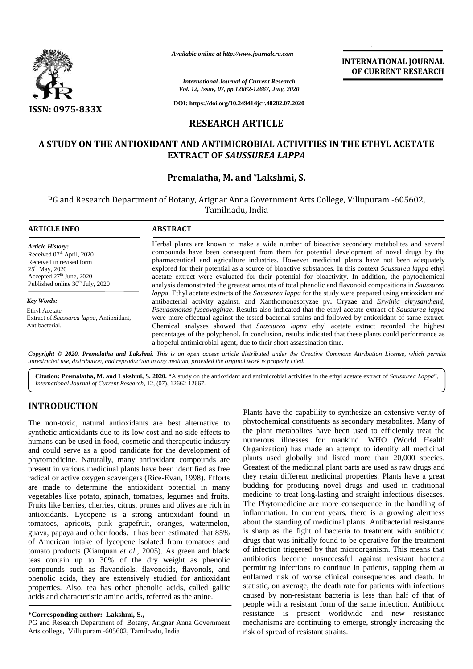

*Available online at http://www.journalcra.com*

# **RESEARCH ARTICLE**

## **A STUDY ON THE ANTIOXIDANT AND ANTIMICROBIAL ACTIVITIES IN THE ETHYL ACETATE A THE EXTRACT OF** *SAUSSUREA LAPPA SAUSSUREA*

# **Premalatha, M. and \*Lakshmi, S.**

|                                                                                                                                                                                                                                                                                                                                                                                                                                                                                                                                                                                                                                                                                                                                                                                                                                                                                                                                                                                                                                                                                                                                                                                                                                                                                                                   | Available online at http://www.journalcra.com                                                                                                                                                                                                                                                                                                                                                                                                                                                                                                                                                                                                                                                      |                                                  |                                                                                                                                                                                                                                                                                                                                                                                                                                                                                                                                                                                                                                                                                                                                                                                                                                                                                                                                                                                                                                                                                                                                                                                                                                                                                                                                                                                                      |  |  |  |
|-------------------------------------------------------------------------------------------------------------------------------------------------------------------------------------------------------------------------------------------------------------------------------------------------------------------------------------------------------------------------------------------------------------------------------------------------------------------------------------------------------------------------------------------------------------------------------------------------------------------------------------------------------------------------------------------------------------------------------------------------------------------------------------------------------------------------------------------------------------------------------------------------------------------------------------------------------------------------------------------------------------------------------------------------------------------------------------------------------------------------------------------------------------------------------------------------------------------------------------------------------------------------------------------------------------------|----------------------------------------------------------------------------------------------------------------------------------------------------------------------------------------------------------------------------------------------------------------------------------------------------------------------------------------------------------------------------------------------------------------------------------------------------------------------------------------------------------------------------------------------------------------------------------------------------------------------------------------------------------------------------------------------------|--------------------------------------------------|------------------------------------------------------------------------------------------------------------------------------------------------------------------------------------------------------------------------------------------------------------------------------------------------------------------------------------------------------------------------------------------------------------------------------------------------------------------------------------------------------------------------------------------------------------------------------------------------------------------------------------------------------------------------------------------------------------------------------------------------------------------------------------------------------------------------------------------------------------------------------------------------------------------------------------------------------------------------------------------------------------------------------------------------------------------------------------------------------------------------------------------------------------------------------------------------------------------------------------------------------------------------------------------------------------------------------------------------------------------------------------------------------|--|--|--|
|                                                                                                                                                                                                                                                                                                                                                                                                                                                                                                                                                                                                                                                                                                                                                                                                                                                                                                                                                                                                                                                                                                                                                                                                                                                                                                                   |                                                                                                                                                                                                                                                                                                                                                                                                                                                                                                                                                                                                                                                                                                    |                                                  | <b>INTERNATIONAL JOURNAL</b><br>OF CURRENT RESEARCH                                                                                                                                                                                                                                                                                                                                                                                                                                                                                                                                                                                                                                                                                                                                                                                                                                                                                                                                                                                                                                                                                                                                                                                                                                                                                                                                                  |  |  |  |
|                                                                                                                                                                                                                                                                                                                                                                                                                                                                                                                                                                                                                                                                                                                                                                                                                                                                                                                                                                                                                                                                                                                                                                                                                                                                                                                   | <b>International Journal of Current Research</b><br>Vol. 12, Issue, 07, pp.12662-12667, July, 2020                                                                                                                                                                                                                                                                                                                                                                                                                                                                                                                                                                                                 |                                                  |                                                                                                                                                                                                                                                                                                                                                                                                                                                                                                                                                                                                                                                                                                                                                                                                                                                                                                                                                                                                                                                                                                                                                                                                                                                                                                                                                                                                      |  |  |  |
| <b>ISSN: 0975-833X</b>                                                                                                                                                                                                                                                                                                                                                                                                                                                                                                                                                                                                                                                                                                                                                                                                                                                                                                                                                                                                                                                                                                                                                                                                                                                                                            |                                                                                                                                                                                                                                                                                                                                                                                                                                                                                                                                                                                                                                                                                                    | DOI: https://doi.org/10.24941/ijcr.40282.07.2020 |                                                                                                                                                                                                                                                                                                                                                                                                                                                                                                                                                                                                                                                                                                                                                                                                                                                                                                                                                                                                                                                                                                                                                                                                                                                                                                                                                                                                      |  |  |  |
|                                                                                                                                                                                                                                                                                                                                                                                                                                                                                                                                                                                                                                                                                                                                                                                                                                                                                                                                                                                                                                                                                                                                                                                                                                                                                                                   |                                                                                                                                                                                                                                                                                                                                                                                                                                                                                                                                                                                                                                                                                                    | <b>RESEARCH ARTICLE</b>                          |                                                                                                                                                                                                                                                                                                                                                                                                                                                                                                                                                                                                                                                                                                                                                                                                                                                                                                                                                                                                                                                                                                                                                                                                                                                                                                                                                                                                      |  |  |  |
|                                                                                                                                                                                                                                                                                                                                                                                                                                                                                                                                                                                                                                                                                                                                                                                                                                                                                                                                                                                                                                                                                                                                                                                                                                                                                                                   |                                                                                                                                                                                                                                                                                                                                                                                                                                                                                                                                                                                                                                                                                                    |                                                  | A STUDY ON THE ANTIOXIDANT AND ANTIMICROBIAL ACTIVITIES IN THE ETHYL ACETATE                                                                                                                                                                                                                                                                                                                                                                                                                                                                                                                                                                                                                                                                                                                                                                                                                                                                                                                                                                                                                                                                                                                                                                                                                                                                                                                         |  |  |  |
|                                                                                                                                                                                                                                                                                                                                                                                                                                                                                                                                                                                                                                                                                                                                                                                                                                                                                                                                                                                                                                                                                                                                                                                                                                                                                                                   | <b>EXTRACT OF SAUSSUREA LAPPA</b>                                                                                                                                                                                                                                                                                                                                                                                                                                                                                                                                                                                                                                                                  |                                                  |                                                                                                                                                                                                                                                                                                                                                                                                                                                                                                                                                                                                                                                                                                                                                                                                                                                                                                                                                                                                                                                                                                                                                                                                                                                                                                                                                                                                      |  |  |  |
|                                                                                                                                                                                                                                                                                                                                                                                                                                                                                                                                                                                                                                                                                                                                                                                                                                                                                                                                                                                                                                                                                                                                                                                                                                                                                                                   | Premalatha, M. and *Lakshmi, S.                                                                                                                                                                                                                                                                                                                                                                                                                                                                                                                                                                                                                                                                    |                                                  |                                                                                                                                                                                                                                                                                                                                                                                                                                                                                                                                                                                                                                                                                                                                                                                                                                                                                                                                                                                                                                                                                                                                                                                                                                                                                                                                                                                                      |  |  |  |
|                                                                                                                                                                                                                                                                                                                                                                                                                                                                                                                                                                                                                                                                                                                                                                                                                                                                                                                                                                                                                                                                                                                                                                                                                                                                                                                   |                                                                                                                                                                                                                                                                                                                                                                                                                                                                                                                                                                                                                                                                                                    | Tamilnadu, India                                 | PG and Research Department of Botany, Arignar Anna Government Arts College, Villupuram -605602,                                                                                                                                                                                                                                                                                                                                                                                                                                                                                                                                                                                                                                                                                                                                                                                                                                                                                                                                                                                                                                                                                                                                                                                                                                                                                                      |  |  |  |
| <b>ARTICLE INFO</b>                                                                                                                                                                                                                                                                                                                                                                                                                                                                                                                                                                                                                                                                                                                                                                                                                                                                                                                                                                                                                                                                                                                                                                                                                                                                                               | <b>ABSTRACT</b>                                                                                                                                                                                                                                                                                                                                                                                                                                                                                                                                                                                                                                                                                    |                                                  |                                                                                                                                                                                                                                                                                                                                                                                                                                                                                                                                                                                                                                                                                                                                                                                                                                                                                                                                                                                                                                                                                                                                                                                                                                                                                                                                                                                                      |  |  |  |
| <b>Article History:</b><br>Received 07th April, 2020<br>Received in revised form<br>25 <sup>th</sup> May, 2020<br>Accepted 27 <sup>th</sup> June, 2020<br>Published online 30 <sup>th</sup> July, 2020                                                                                                                                                                                                                                                                                                                                                                                                                                                                                                                                                                                                                                                                                                                                                                                                                                                                                                                                                                                                                                                                                                            | Herbal plants are known to make a wide number of bioactive secondary metabolites and several<br>compounds have been consequent from them for potential development of novel drugs by the<br>pharmaceutical and agriculture industries. However medicinal plants have not been adequately<br>explored for their potential as a source of bioactive substances. In this context Saussurea lappa ethyl<br>acetate extract were evaluated for their potential for bioactivity. In addition, the phytochemical<br>analysis demonstrated the greatest amounts of total phenolic and flavonoid compositions in Saussurea                                                                                  |                                                  |                                                                                                                                                                                                                                                                                                                                                                                                                                                                                                                                                                                                                                                                                                                                                                                                                                                                                                                                                                                                                                                                                                                                                                                                                                                                                                                                                                                                      |  |  |  |
| <b>Key Words:</b><br><b>Ethyl Acetate</b><br>Extract of Saussurea lappa, Antioxidant,<br>Antibacterial.                                                                                                                                                                                                                                                                                                                                                                                                                                                                                                                                                                                                                                                                                                                                                                                                                                                                                                                                                                                                                                                                                                                                                                                                           | lappa. Ethyl acetate extracts of the Saussurea lappa for the study were prepared using antioxidant and<br>antibacterial activity against, and Xanthomonasoryzae pv. Oryzae and Erwinia chrysanthemi,<br>Pseudomonas fuscovaginae. Results also indicated that the ethyl acetate extract of Saussurea lappa<br>were more effectual against the tested bacterial strains and followed by antioxidant of same extract.<br>Chemical analyses showed that Saussurea lappa ethyl acetate extract recorded the highest<br>percentages of the polyphenol. In conclusion, results indicated that these plants could performance as<br>a hopeful antimicrobial agent, due to their short assassination time. |                                                  |                                                                                                                                                                                                                                                                                                                                                                                                                                                                                                                                                                                                                                                                                                                                                                                                                                                                                                                                                                                                                                                                                                                                                                                                                                                                                                                                                                                                      |  |  |  |
| unrestricted use, distribution, and reproduction in any medium, provided the original work is properly cited.                                                                                                                                                                                                                                                                                                                                                                                                                                                                                                                                                                                                                                                                                                                                                                                                                                                                                                                                                                                                                                                                                                                                                                                                     |                                                                                                                                                                                                                                                                                                                                                                                                                                                                                                                                                                                                                                                                                                    |                                                  | Copyright © 2020, Premalatha and Lakshmi. This is an open access article distributed under the Creative Commons Attribution License, which permits                                                                                                                                                                                                                                                                                                                                                                                                                                                                                                                                                                                                                                                                                                                                                                                                                                                                                                                                                                                                                                                                                                                                                                                                                                                   |  |  |  |
| International Journal of Current Research, 12, (07), 12662-12667.                                                                                                                                                                                                                                                                                                                                                                                                                                                                                                                                                                                                                                                                                                                                                                                                                                                                                                                                                                                                                                                                                                                                                                                                                                                 |                                                                                                                                                                                                                                                                                                                                                                                                                                                                                                                                                                                                                                                                                                    |                                                  | Citation: Premalatha, M. and Lakshmi, S. 2020. "A study on the antioxidant and antimicrobial activities in the ethyl acetate extract of Saussurea Lappa",                                                                                                                                                                                                                                                                                                                                                                                                                                                                                                                                                                                                                                                                                                                                                                                                                                                                                                                                                                                                                                                                                                                                                                                                                                            |  |  |  |
| <b>INTRODUCTION</b>                                                                                                                                                                                                                                                                                                                                                                                                                                                                                                                                                                                                                                                                                                                                                                                                                                                                                                                                                                                                                                                                                                                                                                                                                                                                                               |                                                                                                                                                                                                                                                                                                                                                                                                                                                                                                                                                                                                                                                                                                    |                                                  | Plants have the capability to synthesize an extensive verity of                                                                                                                                                                                                                                                                                                                                                                                                                                                                                                                                                                                                                                                                                                                                                                                                                                                                                                                                                                                                                                                                                                                                                                                                                                                                                                                                      |  |  |  |
| The non-toxic, natural antioxidants are best alternative to<br>synthetic antioxidants due to its low cost and no side effects to<br>humans can be used in food, cosmetic and therapeutic industry<br>and could serve as a good candidate for the development of<br>phytomedicine. Naturally, many antioxidant compounds are<br>present in various medicinal plants have been identified as free<br>radical or active oxygen scavengers (Rice-Evan, 1998). Efforts<br>are made to determine the antioxidant potential in many<br>vegetables like potato, spinach, tomatoes, legumes and fruits.<br>Fruits like berries, cherries, citrus, prunes and olives are rich in<br>antioxidants. Lycopene is a strong antioxidant found in<br>tomatoes, apricots, pink grapefruit, oranges, watermelon,<br>guava, papaya and other foods. It has been estimated that 85%<br>of American intake of lycopene isolated from tomatoes and<br>tomato products (Xianquan et al., 2005). As green and black<br>teas contain up to 30% of the dry weight as phenolic<br>compounds such as flavandiols, flavonoids, flavonols, and<br>phenolic acids, they are extensively studied for antioxidant<br>properties. Also, tea has other phenolic acids, called gallic<br>acids and characteristic amino acids, referred as the anine. |                                                                                                                                                                                                                                                                                                                                                                                                                                                                                                                                                                                                                                                                                                    |                                                  | phytochemical constituents as secondary metabolites. Many of<br>the plant metabolites have been used to efficiently treat the<br>numerous illnesses for mankind. WHO (World Health<br>Organization) has made an attempt to identify all medicinal<br>plants used globally and listed more than 20,000 species.<br>Greatest of the medicinal plant parts are used as raw drugs and<br>they retain different medicinal properties. Plants have a great<br>budding for producing novel drugs and used in traditional<br>medicine to treat long-lasting and straight infectious diseases.<br>The Phytomedicine are more consequence in the handling of<br>inflammation. In current years, there is a growing alertness<br>about the standing of medicinal plants. Antibacterial resistance<br>is sharp as the fight of bacteria to treatment with antibiotic<br>drugs that was initially found to be operative for the treatment<br>of infection triggered by that microorganism. This means that<br>antibiotics become unsuccessful against resistant bacteria<br>permitting infections to continue in patients, tapping them at<br>enflamed risk of worse clinical consequences and death. In<br>statistic, on average, the death rate for patients with infections<br>caused by non-resistant bacteria is less than half of that of<br>people with a resistant form of the same infection. Antibiotic |  |  |  |
| *Corresponding author: Lakshmi, S.,<br>PG and Research Department of Botany, Arignar Anna Government<br>Arts college, Villupuram -605602, Tamilnadu, India                                                                                                                                                                                                                                                                                                                                                                                                                                                                                                                                                                                                                                                                                                                                                                                                                                                                                                                                                                                                                                                                                                                                                        |                                                                                                                                                                                                                                                                                                                                                                                                                                                                                                                                                                                                                                                                                                    | risk of spread of resistant strains.             | resistance is present worldwide and new resistance<br>mechanisms are continuing to emerge, strongly increasing the                                                                                                                                                                                                                                                                                                                                                                                                                                                                                                                                                                                                                                                                                                                                                                                                                                                                                                                                                                                                                                                                                                                                                                                                                                                                                   |  |  |  |

# **INTRODUCTION INTRODUCTION**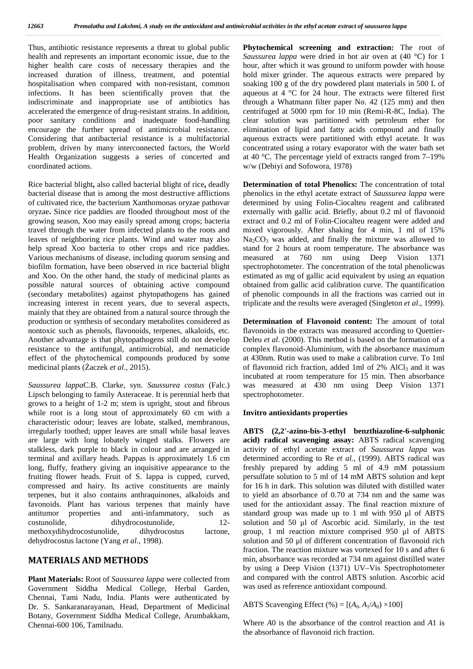Thus, antibiotic resistance represents a threat to global public health and represents an important economic issue, due to the higher health care costs of necessary therapies and the increased duration of illness, treatment, and potential hospitalisation when compared with non-resistant, common infections. It has been scientifically proven that the indiscriminate and inappropriate use of antibiotics has accelerated the emergence of drug-resistant strains. In addition, poor sanitary conditions and inadequate food-handling encourage the further spread of antimicrobial resistance. Considering that antibacterial resistance is a multifactorial problem, driven by many interconnected factors, the World Health Organization suggests a series of concerted and coordinated actions.

Rice bacterial blight**,** also called bacterial blight of rice**,** deadly bacterial disease that is among the most destructive afflictions of cultivated rice, the bacterium Xanthomonas oryzae pathovar oryzae**.** Since rice paddies are flooded throughout most of the growing season, Xoo may easily spread among crops; bacteria travel through the water from infected plants to the roots and leaves of neighboring rice plants. Wind and water may also help spread Xoo bacteria to other crops and rice paddies. Various mechanisms of disease, including quorum sensing and biofilm formation, have been observed in rice bacterial blight and Xoo. On the other hand, the study of medicinal plants as possible natural sources of obtaining active compound (secondary metabolites) against phytopathogens has gained increasing interest in recent years, due to several aspects, mainly that they are obtained from a natural source through the production or synthesis of secondary metabolites considered as nontoxic such as phenols, flavonoids, terpenes, alkaloids, etc. Another advantage is that phytopathogens still do not develop resistance to the antifungal, antimicrobial, and nematicide effect of the phytochemical compounds produced by some medicinal plants (aczek *et al.*, 2015).

*Saussurea lappa*C.B. Clarke, syn. *Saussurea costus* (Falc.) Lipsch belonging to family Asteraceae. It is perennial herb that grows to a height of 1-2 m; stem is upright, stout and fibrous while root is a long stout of approximately 60 cm with a characteristic odour; leaves are lobate, stalked, membranous, irregularly toothed; upper leaves are small while basal leaves are large with long lobately winged stalks. Flowers are stalkless, dark purple to black in colour and are arranged in terminal and axillary heads. Pappas is approximately 1.6 cm long, fluffy, feathery giving an inquisitive appearance to the fruiting flower heads. Fruit of S. lappa is cupped, curved, compressed and hairy. Its active constituents are mainly terpenes, but it also contains anthraquinones, alkaloids and favonoids. Plant has various terpenes that mainly have antitumor properties and anti-infammatory, such as costunolide, dihydrocostunolide, 12 methoxydihydrocostunolide, dihydrocostus lactone, dehydrocostus lactone (Yang *et al*., 1998).

### **MATERIALS AND METHODS**

**Plant Materials:** Root of *Saussurea lappa* were collected from Government Siddha Medical College, Herbal Garden, Chennai, Tami Nadu, India. Plants were authenticated by Dr. S. Sankaranarayanan, Head, Department of Medicinal Botany, Government Siddha Medical College, Arumbakkam, Chennai-600 106, Tamilnadu.

**Phytochemical screening and extraction:** The root of *Saussurea lappa* were dried in hot air oven at (40 °C) for 1 hour, after which it was ground to uniform powder with house hold mixer grinder. The aqueous extracts were prepared by soaking 100 g of the dry powdered plant materials in 500 L of aqueous at 4 °C for 24 hour. The extracts were filtered first through a Whatmann filter paper No. 42 (125 mm) and then centrifuged at 5000 rpm for 10 min (Remi-R-8C, India). The clear solution was partitioned with petroleum ether for elimination of lipid and fatty acids compound and finally aqueous extracts were partitioned with ethyl acetate. It was concentrated using a rotary evaporator with the water bath set at 40 °C. The percentage yield of extracts ranged from 7–19% w/w (Debiyiand Sofowora, 1978)

**Determination of total Phenolics:** The concentration of total phenolics in the ethyl acetate extract of *Saussurea lappa* were determined by using Folin-Ciocalteu reagent and calibrated externally with gallic acid. Briefly, about 0.2 ml of flavonoid extract and 0.2 ml of Folin-Ciocalteu reagent were added and mixed vigorously. After shaking for 4 min, 1 mlof 15%  $Na<sub>2</sub>CO<sub>3</sub>$  was added, and finally the mixture was allowed to stand for 2 hours at room temperature. The absorbance was measured at 760 nm using Deep Vision 1371 spectrophotometer. The concentration of the total phenolicwas estimated as mg of gallic acid equivalent by using an equation obtained from gallic acid calibration curve. The quantification of phenolic compounds in all the fractions was carried out in triplicate and the results were averaged (Singleton *et al*., 1999).

**Determination of Flavonoid content:** The amount of total flavonoids in the extracts was measured according to Quettier- Deleu *et al*. (2000). This method is based on the formation of a complex flavonoid-Aluminium, with the absorbance maximum at 430nm. Rutin was used to make a calibration curve. To 1ml of flavonoid rich fraction, added 1ml of 2%  $AlCl<sub>3</sub>$  and it was incubated at room temperature for 15 min. Then absorbance was measured at 430 nm using Deep Vision 1371 spectrophotometer.

### **Invitro antioxidants properties**

**ABTS (2,2'-azino-bis-3-ethyl benzthiazoline-6-sulphonic acid) radical scavenging assay:** ABTS radical scavenging activity of ethyl acetate extract of *Saussurea lappa* was determined according to Re *et al.,* (1999). ABTS radical was freshly prepared by adding 5 ml of 4.9 mM potassium persulfate solution to 5 ml of 14 mM ABTS solution and kept for 16 h in dark. This solution was diluted with distilled water to yield an absorbance of 0.70 at 734 nm and the same was used for the antioxidant assay. The final reaction mixture of standard group was made up to 1 ml with 950 μl of ABTS solution and 50 μl of Ascorbic acid. Similarly, in the test group, 1 mlreaction mixture comprised 950 μl of ABTS solution and 50 μl of different concentration of flavonoid rich fraction. The reaction mixture was vortexed for 10 s and after 6 min, absorbance was recorded at 734 nm against distilled water by using a Deep Vision (1371) UV–Vis Spectrophotometer and compared with the control ABTS solution. Ascorbic acid was used as reference antioxidant compound.

ABTS Scavenging Effect (%) =  $[(A_0, A_1/A_0) \times 100]$ 

Where *A*0 is the absorbance of the control reaction and *A*1 is the absorbance of flavonoid rich fraction.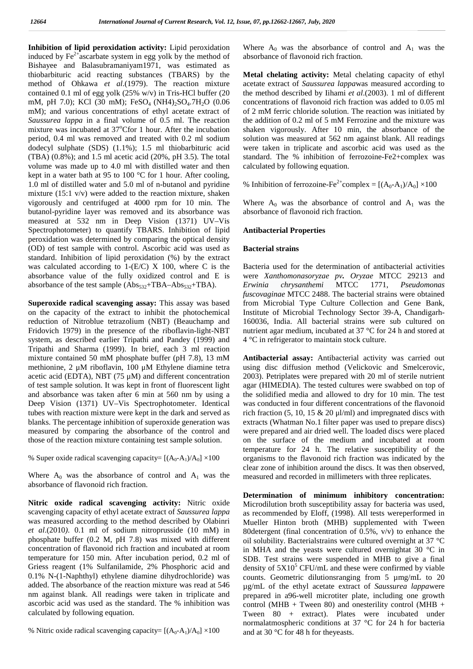**Inhibition of lipid peroxidation activity:** Lipid peroxidation induced by  $Fe<sup>2+</sup>$  ascarbate system in egg yolk by the method of Bishayee and Balasubramaniyam1971, was estimated as thiobarbituric acid reacting substances (TBARS) by the method of Ohkawa *et al*.(1979). The reaction mixture contained 0.1 ml of egg yolk (25% w/v) in Tris-HCl buffer (20 mM, pH 7.0); KCl (30 mM);  $FeSO<sub>4</sub> (NH4)<sub>2</sub>SO<sub>4</sub>$ .7H<sub>2</sub>O (0.06) mM); and various concentrations of ethyl acetate extract of *Saussurea lappa* in a final volume of 0.5 ml. The reaction mixture was incubated at  $37^{\circ}$ Cfor 1 hour. After the incubation period, 0.4 ml was removed and treated with 0.2 ml sodium dodecyl sulphate (SDS) (1.1%); 1.5 ml thiobarbituric acid (TBA) (0.8%); and 1.5 ml acetic acid (20%, pH 3.5). The total volume was made up to 4.0 ml with distilled water and then kept in a water bath at 95 to 100 °C for 1 hour. After cooling, 1.0 ml of distilled water and 5.0 ml of n-butanol and pyridine mixture (15:1 v/v) were added to the reaction mixture, shaken vigorously and centrifuged at 4000 rpm for 10 min. The butanol-pyridine layer was removed and its absorbance was measured at 532 nm in Deep Vision (1371) UV–Vis Spectrophotometer) to quantify TBARS. Inhibition of lipid peroxidation was determined by comparing the optical density (OD) of test sample with control. Ascorbic acid was used as standard. Inhibition of lipid peroxidation (%) by the extract was calculated according to  $1-(E/C)$  X 100, where C is the absorbance value of the fully oxidized control and E is absorbance of the test sample  $(Abs_{532} + TBA-Abs_{532} + TBA)$ .

**Superoxide radical scavenging assay:** This assay was based on the capacity of the extract to inhibit the photochemical reduction of Nitroblue tetrazolium (NBT) (Beauchamp and Fridovich 1979) in the presence of the riboflavin-light-NBT system, as described earlier Tripathi and Pandey (1999) and Tripathi and Sharma (1999). In brief, each 3 ml reaction mixture contained 50 mM phosphate buffer (pH 7.8), 13 mM methionine, 2 μM riboflavin, 100 μM Ethylene diamine tetra acetic acid (EDTA), NBT  $(75 \mu M)$  and different concentration of test sample solution. It was kept in front of fluorescent light and absorbance was taken after 6 min at 560 nm by using a Deep Vision (1371) UV–Vis Spectrophotometer. Identical tubes with reaction mixture were kept in the dark and served as blanks. The percentage inhibition of superoxide generation was measured by comparing the absorbance of the control and those of the reaction mixture containing test sample solution.

% Super oxide radical scavenging capacity=  $[(A_0-A_1)/A_0] \times 100$ 

Where  $A_0$  was the absorbance of control and  $A_1$  was the absorbance of flavonoid rich fraction.

**Nitric oxide radical scavenging activity:** Nitric oxide scavenging capacity of ethyl acetate extract of *Saussurea lappa* was measured according to the method described by Olabinri *et al*.(2010*)*. 0.1 mlof sodium nitroprusside (10 mM) in phosphate buffer (0.2 M, pH 7.8) was mixed with different concentration of flavonoid rich fraction and incubated at room temperature for 150 min. After incubation period, 0.2 ml of Griess reagent (1% Sulfanilamide, 2% Phosphoric acid and 0.1% N-(1-Naphthyl) ethylene diamine dihydrochloride) was added. The absorbance of the reaction mixture was read at 546 nm against blank. All readings were taken in triplicate and ascorbic acid was used as the standard. The % inhibition was calculated by following equation.

% Nitric oxide radical scavenging capacity=  $[(A_0-A_1)/A_0] \times 100$ 

Where  $A_0$  was the absorbance of control and  $A_1$  was the absorbance of flavonoid rich fraction.

**Metal chelating activity:** Metal chelating capacity of ethyl acetate extract of *Saussurea lappa*was measured according to the method described by Iihami *et al*.(2003). 1 ml of different concentrations of flavonoid rich fraction was added to 0.05 ml of 2 mM ferric chloride solution. The reaction was initiated by the addition of  $0.2$  ml of 5 mM Ferrozine and the mixture was shaken vigorously. After 10 min, the absorbance of the solution was measured at 562 nm against blank. All readings were taken in triplicate and ascorbic acid was used as the standard. The % inhibition of ferrozoine-Fe2+complex was calculated by following equation.

% Inhibition of ferrozoine-Fe<sup>2+</sup>complex =  $[(A_0-A_1)/A_0] \times 100$ 

Where  $A_0$  was the absorbance of control and  $A_1$  was the absorbance of flavonoid rich fraction.

#### **Antibacterial Properties**

#### **Bacterial strains**

Bacteria used for the determination of antibacterial activities were *Xanthomonasoryzae pv. Oryzae* MTCC 29213 and *Erwinia chrysanthemi* MTCC 1771, *Pseudomonas fuscovaginae* MTCC 2488. The bacterial strains were obtained from Microbial Type Culture Collection and Gene Bank, Institute of Microbial Technology Sector 39-A, Chandigarh- 160036, India. All bacterial strains were sub cultured on nutrient agar medium, incubated at 37 °C for 24 h and stored at 4 °C in refrigerator to maintain stock culture.

**Antibacterial assay:** Antibacterial activity was carried out using disc diffusion method (Velickovic and Smelcerovic, 2003). Petriplates were prepared with 20 ml of sterile nutrient agar (HIMEDIA). The tested cultures were swabbed on top of the solidified media and allowed to dry for 10 min. The test was conducted in four different concentrations of the flavonoid rich fraction (5, 10, 15  $\&$  20 µl/ml) and impregnated discs with extracts (Whatman No.1 filter paper was used to prepare discs) were prepared and air dried well. The loaded discs were placed on the surface of the medium and incubated at room temperature for 24 h. The relative susceptibility of the organisms to the flavonoid rich fraction was indicated by the clear zone of inhibition around the discs. It was then observed, measured and recorded in millimeters with three replicates.

**Determination of minimum inhibitory concentration:** Microdilution broth susceptibility assay for bacteria was used, as recommended by Eloff, (1998). All tests wereperformed in Mueller Hinton broth (MHB) supplemented with Tween 80detergent (final concentration of 0.5%,  $v/v$ ) to enhance the oil solubility. Bacterialstrains were cultured overnight at 37 °C in MHA and the yeasts were cultured overnightat 30 °C in SDB. Test strains were suspended in MHB to give a final density of  $5X10<sup>5</sup>$  CFU/mL and these were confirmed by viable counts. Geometric dilutionsranging from 5 µmg/mL to 20 µg/mL of the ethyl acetate extract of *Saussurea lappa*were prepared in a96-well microtiter plate, including one growth control (MHB + Tween 80) and onesterility control (MHB + Tween 80 + extract). Plates were incubated under normalatmospheric conditions at 37 °C for 24 h for bacteria and at 30 °C for 48 h for theyeasts.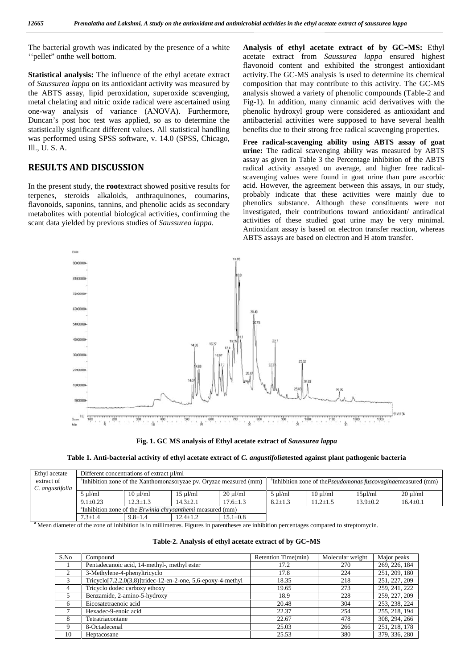The bacterial growth was indicated by the presence of a white ''pellet" onthe well bottom.

**Statistical analysis:** The influence of the ethyl acetate extract of *Saussurea lappa* on its antioxidant activity was measured by the ABTS assay, lipid peroxidation, superoxide scavenging, metal chelating and nitric oxide radical were ascertained using one-way analysis of variance (ANOVA). Furthermore, Duncan's post hoc test was applied, so as to determine the statistically significant different values. All statistical handling was performed using SPSS software, v. 14.0 (SPSS, Chicago, Ill., U. S. A.

## **RESULTS AND DISCUSSION**

In the present study, the **root**extract showed positive results for terpenes, steroids alkaloids, anthraquinones, coumarins, flavonoids, saponins, tannins, and phenolic acids as secondary metabolites with potential biological activities, confirming the scant data yielded by previous studies of *Saussurea lappa.*

**Analysis of ethyl acetate extract of by GC–MS:** Ethyl acetate extract from *Saussurea lappa* ensured highest flavonoid content and exhibited the strongest antioxidant activity.The GC-MS analysis is used to determine its chemical composition that may contribute to this activity. The GC-MS analysis showed a variety of phenolic compounds (Table-2 and Fig-1). In addition, many cinnamic acid derivatives with the phenolic hydroxyl group were considered as antioxidant and antibacterial activities were supposed to have several health benefits due to their strong free radical scavenging properties.

**Free radical-scavenging ability using ABTS assay of goat urine:** The radical scavenging ability was measured by ABTS assay as given in Table 3 the Percentage inhibition of the ABTS radical activity assayed on average, and higher free radical scavenging values were found in goat urine than pure ascorbic acid. However, the agreement between this assays, in our study, probably indicate that these activities were mainly due to phenolics substance. Although these constituents were not investigated, their contributions toward antioxidant/ antiradical activities of these studied goat urine may be very minimal. Antioxidant assay is based on electron transfer reaction, whereas ABTS assays are based on electron and H atom transfer.



**Fig. 1. GC MS analysis of Ethyl acetate extract of** *Saussurea lappa*

### **Table 1. Anti-bacterial activity of ethyl acetate extract of** *C. angustifolia***tested against plant pathogenic bacteria**

| Ethyl acetate   | Different concentrations of extract ul/ml                                      |                                                                               |                |                    |                  |                                                                                   |                |                |
|-----------------|--------------------------------------------------------------------------------|-------------------------------------------------------------------------------|----------------|--------------------|------------------|-----------------------------------------------------------------------------------|----------------|----------------|
| extract of      | <sup>a</sup> Inhibition zone of the Xanthomonasoryzae pv. Oryzae measured (mm) |                                                                               |                |                    |                  | <sup>a</sup> Inhibition zone of the <i>Pseudomonas fuscovaginae</i> measured (mm) |                |                |
| C. angustifolia |                                                                                |                                                                               |                |                    |                  |                                                                                   |                |                |
|                 | $5 \text{ ul/ml}$                                                              | $10 \text{ u}$ l/ml                                                           | $15 \mu$ l/ml  | $20 \text{ uV}$ ml | $5 \text{ uVml}$ | $10 \text{ uV}$ ml                                                                | $15u$ l/ml     | $20 \mu$ l/ml  |
|                 | $9.1 \pm 0.23$                                                                 | $12.3 + 1.3$                                                                  | $14.3 \pm 2.1$ | $17.6 \pm 1.3$     | $8.2 \pm 1.3$    | $11.2 \pm 1.5$                                                                    | $13.9 \pm 0.2$ | $16.4 \pm 0.1$ |
|                 |                                                                                | <sup>a</sup> Inhibition zone of the <i>Erwinia chrysanthemi</i> measured (mm) |                |                    |                  |                                                                                   |                |                |
|                 | $7.3 \pm 1.4$                                                                  | $9.8 \pm 1.4$                                                                 | $12.4 \pm 1.2$ | $15.1 \pm 0.8$     |                  |                                                                                   |                |                |

<sup>a</sup> Mean diameter of the zone of inhibition is in millimetres. Figures in parentheses are inhibition percentages compared to streptomycin.

| Table-2. Analysis of ethyl acetate extract of by GC–MS |  |  |  |  |
|--------------------------------------------------------|--|--|--|--|
|--------------------------------------------------------|--|--|--|--|

| S.No | Compound                                                                  | Retention Time(min) | Molecular weight | Major peaks   |
|------|---------------------------------------------------------------------------|---------------------|------------------|---------------|
|      | Pentadecanoic acid, 14-methyl-, methyl ester                              | 17.2                | 270              | 269, 226, 184 |
| 2    | 3-Methylene-4-phenyltricyclo                                              | 17.8                | 224              | 251, 209, 180 |
| 3    | Tricyclo <sup>[7.2.2.0(3,8)</sup> ]tridec-12-en-2-one, 5,6-epoxy-4-methyl | 18.35               | 218              | 251, 227, 209 |
| 4    | Tricyclo dodec carboxy ethoxy                                             | 19.65               | 273              | 259, 241, 222 |
|      | Benzamide, 2-amino-5-hydroxy                                              | 18.9                | 228              | 259, 227, 209 |
| 6    | Eicosatetraenoic acid                                                     | 20.48               | 304              | 253, 238, 224 |
|      | Hexadec-9-enoic acid                                                      | 22.37               | 254              | 255, 218, 194 |
| 8    | Tetratriacontane                                                          | 22.67               | 478              | 308, 294, 266 |
| 9    | 8-Octadecenal                                                             | 25.03               | 266              | 251, 218, 178 |
| 10   | Heptacosane                                                               | 25.53               | 380              | 379, 336, 280 |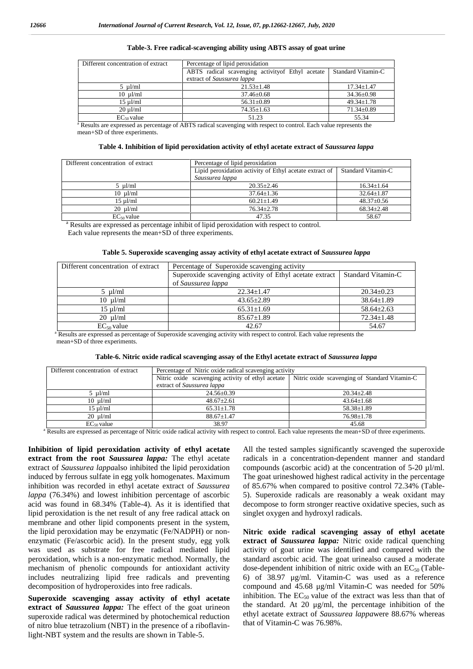| Different concentration of extract<br>Percentage of lipid peroxidation |                                                                         |                  |  |  |  |  |  |
|------------------------------------------------------------------------|-------------------------------------------------------------------------|------------------|--|--|--|--|--|
|                                                                        | Standard Vitamin-C<br>ABTS radical scavenging activity of Ethyl acetate |                  |  |  |  |  |  |
|                                                                        | extract of Saussurea lappa                                              |                  |  |  |  |  |  |
| $5 \text{ ul/ml}$                                                      | $21.53 + 1.48$                                                          | $17.34 + 1.47$   |  |  |  |  |  |
| $10 \text{ }\mu\text{J/ml}$                                            | $37.46 \pm 0.68$                                                        | $34.36 \pm 0.98$ |  |  |  |  |  |
| $15 \text{ uVml}$                                                      | $56.31 \pm 0.89$                                                        | $49.34 \pm 1.78$ |  |  |  |  |  |
| $20 \text{ u}$ l/ml                                                    | $74.35 \pm 1.63$                                                        | $71.34 \pm 0.89$ |  |  |  |  |  |
| $EC_{50}$ value                                                        | 51.23                                                                   | 55.34            |  |  |  |  |  |

#### **Table-3. Free radical-scavenging ability using ABTS assay of goat urine**

<sup>a</sup> Results are expressed as percentage of ABTS radical scavenging with respect to control. Each value represents the mean+SD of three experiments.

| Table 4. Inhibition of lipid peroxidation activity of ethyl acetate extract of Saussurea lappa |  |  |  |
|------------------------------------------------------------------------------------------------|--|--|--|
|------------------------------------------------------------------------------------------------|--|--|--|

| Different concentration of extract | Percentage of lipid peroxidation                        |                    |  |  |  |  |  |
|------------------------------------|---------------------------------------------------------|--------------------|--|--|--|--|--|
|                                    | Lipid peroxidation activity of Ethyl acetate extract of | Standard Vitamin-C |  |  |  |  |  |
|                                    | Saussurea lappa                                         |                    |  |  |  |  |  |
| $5 \mu$ l/ml                       | $20.35 + 2.46$                                          | $16.34 \pm 1.64$   |  |  |  |  |  |
| $10 \mu l/ml$                      | $37.64 + 1.36$                                          | $32.64 + 1.87$     |  |  |  |  |  |
| $15 \text{ u}$ l/ml                | $60.21 \pm 1.49$                                        | $48.37+0.56$       |  |  |  |  |  |
| $20 \mu l/ml$                      | $76.34 + 2.78$                                          | $68.34 + 2.48$     |  |  |  |  |  |
| $EC_{50}$ value                    | 47.35                                                   | 58.67              |  |  |  |  |  |

<sup>a</sup> Results are expressed as percentage inhibit of lipid peroxidation with respect to control.

Each value represents the mean+SD of three experiments.

|  |  |  | Table 5. Superoxide scavenging assay activity of ethyl acetate extract of Saussurea lappa |  |
|--|--|--|-------------------------------------------------------------------------------------------|--|
|--|--|--|-------------------------------------------------------------------------------------------|--|

| Different concentration of extract | Percentage of Superoxide scavenging activity            |                           |
|------------------------------------|---------------------------------------------------------|---------------------------|
|                                    | Superoxide scavenging activity of Ethyl acetate extract | <b>Standard Vitamin-C</b> |
|                                    | of Saussurea lappa                                      |                           |
| $5 \mu l/ml$                       | $22.34 \pm 1.47$                                        | $20.34 + 0.23$            |
| $10 \text{ }\mu\text{J/ml}$        | $43.65 \pm 2.89$                                        | $38.64 \pm 1.89$          |
| $15 \text{ ul/ml}$                 | $65.31 \pm 1.69$                                        | $58.64 \pm 2.63$          |
| $20 \mu$ l/ml                      | $85.67 \pm 1.89$                                        | $72.34 \pm 1.48$          |
| $EC_{50}$ value                    | 42.67                                                   | 54.67                     |

<sup>a</sup> Results are expressed as percentage of Superoxide scavenging activity with respect to control. Each value represents the mean+SD of three experiments.

|  |  |  |  | Table-6. Nitric oxide radical scavenging assay of the Ethyl acetate extract of Saussurea lappa |  |  |
|--|--|--|--|------------------------------------------------------------------------------------------------|--|--|
|  |  |  |  |                                                                                                |  |  |

| Different concentration of extract | Percentage of Nitric oxide radical scavenging activity |                                               |  |  |  |  |  |
|------------------------------------|--------------------------------------------------------|-----------------------------------------------|--|--|--|--|--|
|                                    | Nitric oxide scavenging activity of ethyl acetate      | Nitric oxide scavenging of Standard Vitamin-C |  |  |  |  |  |
|                                    | extract of Saussurea lappa                             |                                               |  |  |  |  |  |
| $5 \mu l/ml$                       | $24.56 \pm 0.39$                                       | $20.34 \pm 2.48$                              |  |  |  |  |  |
| $10 \mu l/ml$                      | $48.67 \pm 2.61$                                       | $43.64 \pm 1.68$                              |  |  |  |  |  |
| $15 \mu$ l/ml                      | $65.31 \pm 1.78$                                       | $58.38 \pm 1.89$                              |  |  |  |  |  |
| $20 \mu l/ml$                      | $88.67 \pm 1.47$                                       | $76.98 \pm 1.78$                              |  |  |  |  |  |
| $EC_{50}$ value                    | 38.97                                                  | 45.68                                         |  |  |  |  |  |

<sup>a</sup> Results are expressed as percentage of Nitric oxide radical activity with respect to control. Each value represents the mean+SD of three experiments.

**Inhibition of lipid peroxidation activity of ethyl acetate extract from the root** *Saussurea lappa:* The ethyl acetate extract of *Saussurea lappa*also inhibited the lipid peroxidation induced by ferrous sulfate in egg yolk homogenates. Maximum inhibition was recorded in ethyl acetate extract of *Saussurea lappa* (76.34%) and lowest inhibition percentage of ascorbic acid was found in 68.34% (Table-4)*.* As it is identified that lipid peroxidation is the net result of any free radical attack on membrane and other lipid components present in the system, the lipid peroxidation may be enzymatic (Fe/NADPH) or non enzymatic (Fe/ascorbic acid). In the present study, egg yolk was used as substrate for free radical mediated lipid peroxidation, which is a non-enzymatic method. Normally, the mechanism of phenolic compounds for antioxidant activity includes neutralizing lipid free radicals and preventing decomposition of hydroperoxides into free radicals.

**Superoxide scavenging assay activity of ethyl acetate extract of** *Saussurea lappa:* The effect of the goat urineon superoxide radical was determined by photochemical reduction of nitro blue tetrazolium (NBT) in the presence of a riboflavinlight-NBT system and the results are shown in Table-5.

All the tested samples significantly scavenged the superoxide radicals in a concentration-dependent manner and standard compounds (ascorbic acid) at the concentration of  $5-20 \mu l/ml$ . The goat urineshowed highest radical activity in the percentage of 85.67% when compared to positive control 72.34% (Table- 5). Superoxide radicals are reasonably a weak oxidant may decompose to form stronger reactive oxidative species, such as singlet oxygen and hydroxyl radicals.

**Nitric oxide radical scavenging assay of ethyl acetate extract of** *Saussurea lappa:* Nitric oxide radical quenching activity of goat urine was identified and compared with the standard ascorbic acid. The goat urinealso caused a moderate dose-dependent inhibition of nitric oxide with an  $EC_{50}$  (Table-6) of 38.97 μg/ml. Vitamin-C was used as a reference compound and  $45.68 \mu g/ml$  Vitamin-C was needed for  $50\%$ inhibition. The  $EC_{50}$  value of the extract was less than that of the standard. At 20 μg/ml, the percentage inhibition of the ethyl acetate extract of *Saussurea lappa*were 88.67% whereas that of Vitamin-C was 76.98%.